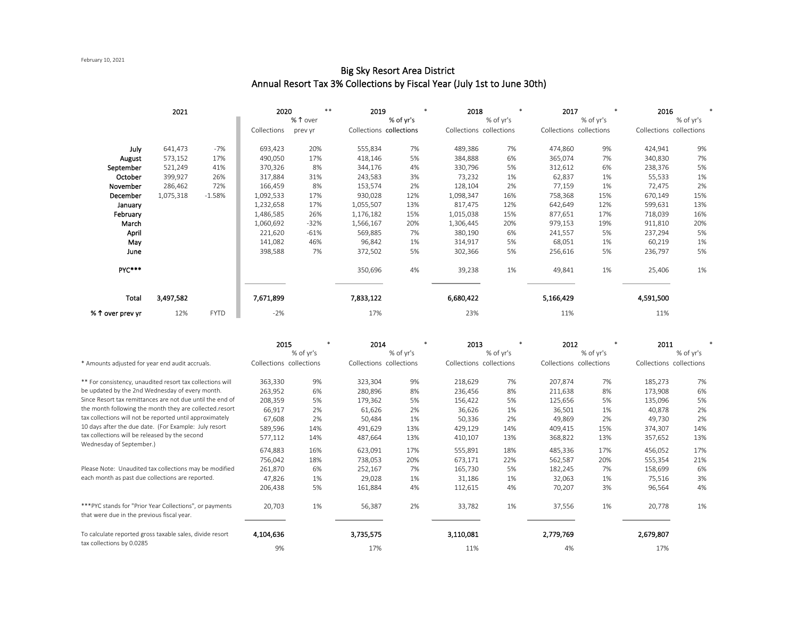### February 10, 2021

#### 2021 \*\* \* \* \* \* Collections previer in Collections collections Collections collections Collections Collections Collections July 641,473 -7% 693,423 20% 555,834 7% 489,386 7% 474,860 9% 424,941 9% August 573,152 17% 490,050 17% 418,146 5% 384,888 6% 365,074 7% 340,830 7% September 521,249 41% 370,326 8% 344,176 4% 330,796 5% 312,612 6% 238,376 5% **October** 399,927 26% | 317,884 31% 243,583 3% 73,232 1% 62,837 1% 55,533 1% November 286,462 72% 166,459 8% 153,574 2% 128,104 2% 77,159 1% 72,475 2% December 1,075,318 -1.58% 1,092,533 17% 930,028 12% 1,098,347 16% 758,368 15% 670,149 15% January 1,232,658 17% 1,055,507 13% 817,475 12% 642,649 12% 599,631 13% February 1,486,585 26% 1,176,182 15% 1,015,038 15% 877,651 17% 718,039 16% March 1,060,692 -32% 1,566,167 20% 1,306,445 20% 979,153 19% 911,810 20% April 221,620 -61% 569,885 7% 380,190 6% 241,557 5% 237,294 5% May 141,082 46% 96,842 1% 314,917 5% 68,051 1% 60,219 1% June 398,588 7% 372,502 5% 302,366 5% 256,616 5% 236,797 5% PYC\*\*\* 350,696 4% 39,238 1% 49,841 1% 25,406 1% Total 3,497,582 7,671,899 7,833,122 6,680,422 5,166,429 4,591,500 **% 1 over prev yr** 12% FYTD -2% 27% 17% 17% 23% 11% 11% 11% 11% 11% % of yr's Collections collections 2020 \*\* 2019 % of yr's 2018 % of yr's Collections collections 2017 % of yr's Collections collections 2016 % 1 over Collections prev yr

# Big Sky Resort Area District Annual Resort Tax 3% Collections by Fiscal Year (July 1st to June 30th)

|                                                                                                        | 2015                    |           | 2014                    |           | 2013                    |           | 2012                    |           | 2011                    |           |
|--------------------------------------------------------------------------------------------------------|-------------------------|-----------|-------------------------|-----------|-------------------------|-----------|-------------------------|-----------|-------------------------|-----------|
|                                                                                                        |                         | % of yr's |                         | % of yr's |                         | % of yr's |                         | % of yr's |                         | % of yr's |
| * Amounts adjusted for year end audit accruals.                                                        | Collections collections |           | Collections collections |           | Collections collections |           | Collections collections |           | Collections collections |           |
| ** For consistency, unaudited resort tax collections will                                              | 363,330                 | 9%        | 323,304                 | 9%        | 218,629                 | 7%        | 207,874                 | 7%        | 185,273                 | 7%        |
| be updated by the 2nd Wednesday of every month.                                                        | 263,952                 | 6%        | 280,896                 | 8%        | 236,456                 | 8%        | 211,638                 | 8%        | 173,908                 | 6%        |
| Since Resort tax remittances are not due until the end of                                              | 208,359                 | 5%        | 179,362                 | 5%        | 156,422                 | 5%        | 125,656                 | 5%        | 135,096                 | 5%        |
| the month following the month they are collected.resort                                                | 66,917                  | 2%        | 61,626                  | 2%        | 36,626                  | 1%        | 36,501                  | 1%        | 40,878                  | 2%        |
| tax collections will not be reported until approximately                                               | 67,608                  | 2%        | 50,484                  | 1%        | 50,336                  | 2%        | 49,869                  | 2%        | 49,730                  | 2%        |
| 10 days after the due date. (For Example: July resort                                                  | 589,596                 | 14%       | 491,629                 | 13%       | 429,129                 | 14%       | 409,415                 | 15%       | 374,307                 | 14%       |
| tax collections will be released by the second<br>Wednesday of September.)                             | 577,112                 | 14%       | 487,664                 | 13%       | 410,107                 | 13%       | 368,822                 | 13%       | 357,652                 | 13%       |
|                                                                                                        | 674,883                 | 16%       | 623,091                 | 17%       | 555,891                 | 18%       | 485,336                 | 17%       | 456,052                 | 17%       |
|                                                                                                        | 756,042                 | 18%       | 738,053                 | 20%       | 673,171                 | 22%       | 562,587                 | 20%       | 555,354                 | 21%       |
| Please Note: Unaudited tax collections may be modified                                                 | 261,870                 | 6%        | 252,167                 | 7%        | 165,730                 | 5%        | 182,245                 | 7%        | 158,699                 | 6%        |
| each month as past due collections are reported.                                                       | 47,826                  | 1%        | 29,028                  | 1%        | 31,186                  | 1%        | 32,063                  | 1%        | 75,516                  | 3%        |
|                                                                                                        | 206,438                 | 5%        | 161,884                 | 4%        | 112,615                 | 4%        | 70,207                  | 3%        | 96,564                  | 4%        |
| *** PYC stands for "Prior Year Collections", or payments<br>that were due in the previous fiscal year. | 20,703                  | 1%        | 56,387                  | 2%        | 33,782                  | 1%        | 37,556                  | 1%        | 20,778                  | 1%        |
| To calculate reported gross taxable sales, divide resort<br>tax collections by 0.0285                  | 4,104,636               |           | 3,735,575               |           | 3,110,081               |           | 2,779,769               |           | 2,679,807               |           |
|                                                                                                        | 9%                      |           | 17%                     |           | 11%                     |           | 4%                      |           | 17%                     |           |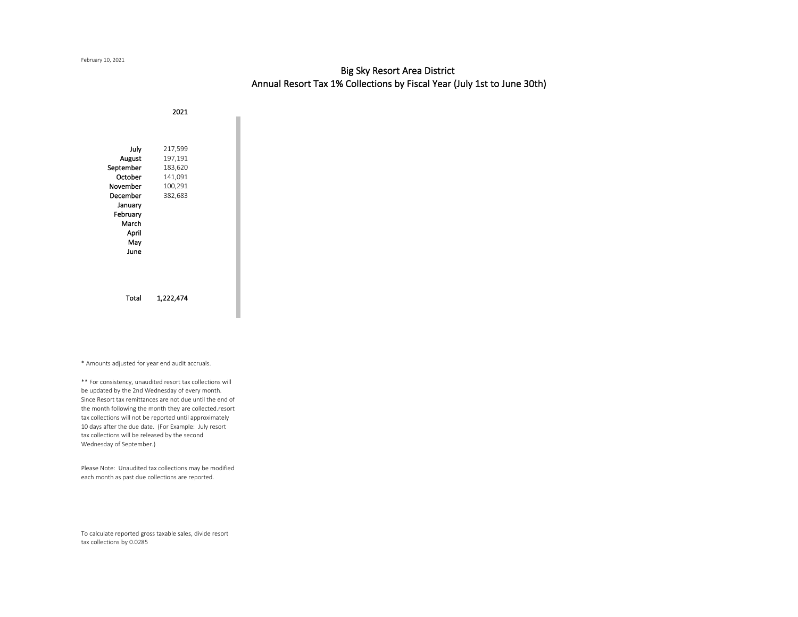# Big Sky Resort Area District Annual Resort Tax 1% Collections by Fiscal Year (July 1st to June 30th)

2021 July 217,599 August 197,191 September 183,620 October 141,091 November 100,291 December 382,683 January February March April May June Total 1,222,474

\* Amounts adjusted for year end audit accruals.

\*\* For consistency, unaudited resort tax collections will be updated by the 2nd Wednesday of every month. Since Resort tax remittances are not due until the end of the month following the month they are collected.resort tax collections will not be reported until approximately 10 days after the due date. (For Example: July resort tax collections will be released by the second Wednesday of September.)

Please Note: Unaudited tax collections may be modified each month as past due collections are reported.

To calculate reported gross taxable sales, divide resort tax collections by 0.0285